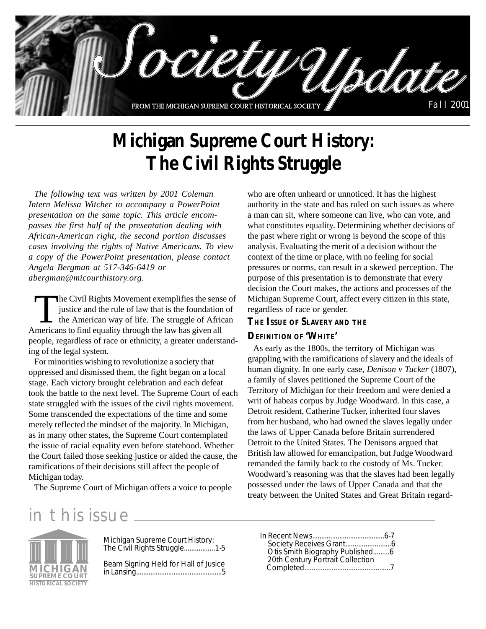

# **Michigan Supreme Court History: The Civil Rights Struggle**

*The following text was written by 2001 Coleman Intern Melissa Witcher to accompany a PowerPoint presentation on the same topic. This article encompasses the first half of the presentation dealing with African-American right, the second portion discusses cases involving the rights of Native Americans. To view a copy of the PowerPoint presentation, please contact Angela Bergman at 517-346-6419 or abergman@micourthistory.org.*

The Civil Rights Movement exemplifies the sense of<br>justice and the rule of law that is the foundation of<br>the American way of life. The struggle of African<br>mericans to find equality through the law has given all justice and the rule of law that is the foundation of the American way of life. The struggle of African Americans to find equality through the law has given all people, regardless of race or ethnicity, a greater understanding of the legal system.

For minorities wishing to revolutionize a society that oppressed and dismissed them, the fight began on a local stage. Each victory brought celebration and each defeat took the battle to the next level. The Supreme Court of each state struggled with the issues of the civil rights movement. Some transcended the expectations of the time and some merely reflected the mindset of the majority. In Michigan, as in many other states, the Supreme Court contemplated the issue of racial equality even before statehood. Whether the Court failed those seeking justice or aided the cause, the ramifications of their decisions still affect the people of Michigan today.

The Supreme Court of Michigan offers a voice to people

who are often unheard or unnoticed. It has the highest authority in the state and has ruled on such issues as where a man can sit, where someone can live, who can vote, and what constitutes equality. Determining whether decisions of the past where right or wrong is beyond the scope of this analysis. Evaluating the merit of a decision without the context of the time or place, with no feeling for social pressures or norms, can result in a skewed perception. The purpose of this presentation is to demonstrate that every decision the Court makes, the actions and processes of the Michigan Supreme Court, affect every citizen in this state, regardless of race or gender.

### **THE ISSUE OF SLAVERY AND THE**

### **DEFINITION OF 'WHITE'**

As early as the 1800s, the territory of Michigan was grappling with the ramifications of slavery and the ideals of human dignity. In one early case, *Denison v Tucker* (1807), a family of slaves petitioned the Supreme Court of the Territory of Michigan for their freedom and were denied a writ of habeas corpus by Judge Woodward. In this case, a Detroit resident, Catherine Tucker, inherited four slaves from her husband, who had owned the slaves legally under the laws of Upper Canada before Britain surrendered Detroit to the United States. The Denisons argued that British law allowed for emancipation, but Judge Woodward remanded the family back to the custody of Ms. Tucker. Woodward's reasoning was that the slaves had been legally possessed under the laws of Upper Canada and that the treaty between the United States and Great Britain regard-

# in this issue



Michigan Supreme Court History: The Civil Rights Struggle.................1-5

Beam Signing Held for Hall of Jusice in Lansing................................................5

| 20th Century Portrait Collection |  |
|----------------------------------|--|
|                                  |  |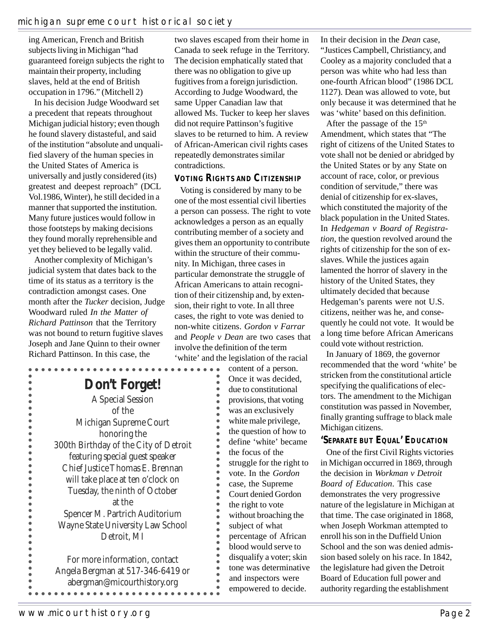ing American, French and British subjects living in Michigan "had guaranteed foreign subjects the right to maintain their property, including slaves, held at the end of British occupation in 1796." (Mitchell 2)

In his decision Judge Woodward set a precedent that repeats throughout Michigan judicial history; even though he found slavery distasteful, and said of the institution "absolute and unqualified slavery of the human species in the United States of America is universally and justly considered (its) greatest and deepest reproach" (DCL Vol.1986, Winter), he still decided in a manner that supported the institution. Many future justices would follow in those footsteps by making decisions they found morally reprehensible and yet they believed to be legally valid.

Another complexity of Michigan's judicial system that dates back to the time of its status as a territory is the contradiction amongst cases. One month after the *Tucker* decision, Judge Woodward ruled *In the Matter of Richard Pattinson* that the Territory was not bound to return fugitive slaves Joseph and Jane Quinn to their owner Richard Pattinson. In this case, the

 $\ddot{\bullet}$  $\bullet$  $\bullet$  $\bullet$  $\bullet$  $\bullet$  $\bullet$  $\bullet$  $\bullet$  $\bullet$  $\bullet$  $\bullet$  $\bullet$  $\bullet$  $\ddot{\bullet}$  $\ddot{\bullet}$ 

> $\bullet$   $\bullet$   $\bullet$  $\bullet$  $\bullet$  $\bullet$  $\bullet$  $\bullet$  $\bullet$  $\bullet$

**Don't Forget!**

A Special Session of the Michigan Supreme Court honoring the 300th Birthday of the City of Detroit featuring special guest speaker Chief Justice Thomas E. Brennan will take place at ten o'clock on Tuesday, the ninth of October at the Spencer M. Partrich Auditorium Wayne State University Law School Detroit, MI

For more information, contact Angela Bergman at 517-346-6419 or abergman@micourthistory.org. . . . . . . . . . . . . . . .

two slaves escaped from their home in Canada to seek refuge in the Territory. The decision emphatically stated that there was no obligation to give up fugitives from a foreign jurisdiction. According to Judge Woodward, the same Upper Canadian law that allowed Ms. Tucker to keep her slaves did not require Pattinson's fugitive slaves to be returned to him. A review of African-American civil rights cases repeatedly demonstrates similar contradictions.

### **VOTING RIGHTS AND CITIZENSHIP**

Voting is considered by many to be one of the most essential civil liberties a person can possess. The right to vote acknowledges a person as an equally contributing member of a society and gives them an opportunity to contribute within the structure of their community. In Michigan, three cases in particular demonstrate the struggle of African Americans to attain recognition of their citizenship and, by extension, their right to vote. In all three cases, the right to vote was denied to non-white citizens. *Gordon v Farrar* and *People v Dean* are two cases that involve the definition of the term 'white' and the legislation of the racial

 $\begin{array}{cccccccccccccc} \bullet & \bullet & \bullet & \bullet & \bullet & \bullet & \bullet & \bullet \end{array}$ 

content of a person. Once it was decided, due to constitutional provisions, that voting was an exclusively white male privilege, the question of how to define 'white' became the focus of the struggle for the right to vote. In the *Gordon* case, the Supreme Court denied Gordon the right to vote without broaching the subject of what percentage of African blood would serve to disqualify a voter; skin tone was determinative and inspectors were empowered to decide.

In their decision in the *Dean* case, "Justices Campbell, Christiancy, and Cooley as a majority concluded that a person was white who had less than one-fourth African blood" (1986 DCL 1127). Dean was allowed to vote, but only because it was determined that he was 'white' based on this definition.

After the passage of the  $15<sup>th</sup>$ Amendment, which states that "The right of citizens of the United States to vote shall not be denied or abridged by the United States or by any State on account of race, color, or previous condition of servitude," there was denial of citizenship for ex-slaves, which constituted the majority of the black population in the United States. In *Hedgeman v Board of Registration*, the question revolved around the rights of citizenship for the son of exslaves. While the justices again lamented the horror of slavery in the history of the United States, they ultimately decided that because Hedgeman's parents were not U.S. citizens, neither was he, and consequently he could not vote. It would be a long time before African Americans could vote without restriction.

In January of 1869, the governor recommended that the word 'white' be stricken from the constitutional article specifying the qualifications of electors. The amendment to the Michigan constitution was passed in November, finally granting suffrage to black male Michigan citizens.

## **'SEPARATE BUT EQUAL' EDUCATION**

One of the first Civil Rights victories in Michigan occurred in 1869, through the decision in *Workman v Detroit Board of Education*. This case demonstrates the very progressive nature of the legislature in Michigan at that time. The case originated in 1868, when Joseph Workman attempted to enroll his son in the Duffield Union School and the son was denied admission based solely on his race. In 1842, the legislature had given the Detroit Board of Education full power and authority regarding the establishment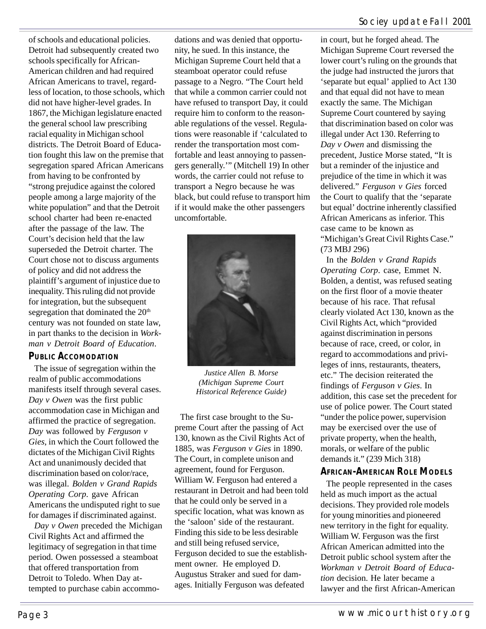of schools and educational policies. Detroit had subsequently created two schools specifically for African-American children and had required African Americans to travel, regardless of location, to those schools, which did not have higher-level grades. In 1867, the Michigan legislature enacted the general school law prescribing racial equality in Michigan school districts. The Detroit Board of Education fought this law on the premise that segregation spared African Americans from having to be confronted by "strong prejudice against the colored people among a large majority of the white population" and that the Detroit school charter had been re-enacted after the passage of the law. The Court's decision held that the law superseded the Detroit charter. The Court chose not to discuss arguments of policy and did not address the plaintiff's argument of injustice due to inequality. This ruling did not provide for integration, but the subsequent segregation that dominated the  $20<sup>th</sup>$ century was not founded on state law, in part thanks to the decision in *Workman v Detroit Board of Education*.

## **PUBLIC ACCOMODATION**

The issue of segregation within the realm of public accommodations manifests itself through several cases. *Day v Owen* was the first public accommodation case in Michigan and affirmed the practice of segregation. *Day* was followed by *Ferguson v Gies*, in which the Court followed the dictates of the Michigan Civil Rights Act and unanimously decided that discrimination based on color/race, was illegal. *Bolden v Grand Rapids Operating Corp*. gave African Americans the undisputed right to sue for damages if discriminated against.

*Day v Owen* preceded the Michigan Civil Rights Act and affirmed the legitimacy of segregation in that time period. Owen possessed a steamboat that offered transportation from Detroit to Toledo. When Day attempted to purchase cabin accommodations and was denied that opportunity, he sued. In this instance, the Michigan Supreme Court held that a steamboat operator could refuse passage to a Negro. "The Court held that while a common carrier could not have refused to transport Day, it could require him to conform to the reasonable regulations of the vessel. Regulations were reasonable if 'calculated to render the transportation most comfortable and least annoying to passengers generally.'" (Mitchell 19) In other words, the carrier could not refuse to transport a Negro because he was black, but could refuse to transport him if it would make the other passengers uncomfortable.



*Justice Allen B. Morse (Michigan Supreme Court Historical Reference Guide)*

The first case brought to the Supreme Court after the passing of Act 130, known as the Civil Rights Act of 1885, was *Ferguson v Gies* in 1890. The Court, in complete unison and agreement, found for Ferguson. William W. Ferguson had entered a restaurant in Detroit and had been told that he could only be served in a specific location, what was known as the 'saloon' side of the restaurant. Finding this side to be less desirable and still being refused service, Ferguson decided to sue the establishment owner. He employed D. Augustus Straker and sued for damages. Initially Ferguson was defeated

in court, but he forged ahead. The Michigan Supreme Court reversed the lower court's ruling on the grounds that the judge had instructed the jurors that 'separate but equal' applied to Act 130 and that equal did not have to mean exactly the same. The Michigan Supreme Court countered by saying that discrimination based on color was illegal under Act 130. Referring to *Day v Owen* and dismissing the precedent, Justice Morse stated, "It is but a reminder of the injustice and prejudice of the time in which it was delivered." *Ferguson v Gies* forced the Court to qualify that the 'separate but equal' doctrine inherently classified African Americans as inferior. This case came to be known as "Michigan's Great Civil Rights Case." (73 MBJ 296)

In the *Bolden v Grand Rapids Operating Corp*. case, Emmet N. Bolden, a dentist, was refused seating on the first floor of a movie theater because of his race. That refusal clearly violated Act 130, known as the Civil Rights Act, which "provided against discrimination in persons because of race, creed, or color, in regard to accommodations and privileges of inns, restaurants, theaters, etc." The decision reiterated the findings of *Ferguson v Gies*. In addition, this case set the precedent for use of police power. The Court stated "under the police power, supervision may be exercised over the use of private property, when the health, morals, or welfare of the public demands it." (239 Mich 318)

## **AFRICAN-AMERICAN ROLE MODELS**

The people represented in the cases held as much import as the actual decisions. They provided role models for young minorities and pioneered new territory in the fight for equality. William W. Ferguson was the first African American admitted into the Detroit public school system after the *Workman v Detroit Board of Education* decision. He later became a lawyer and the first African-American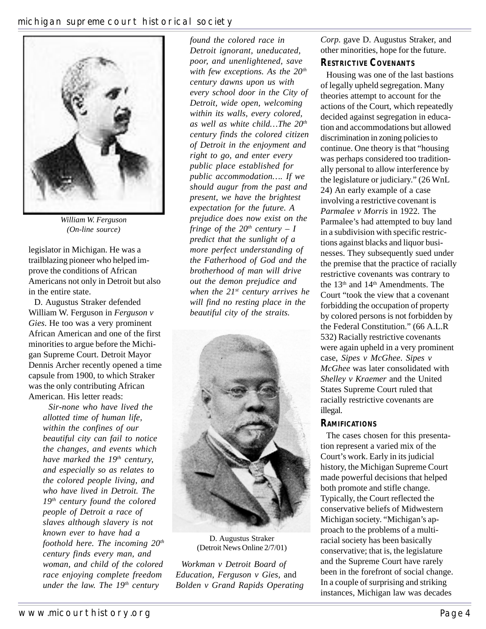

*William W. Ferguson (On-line source)*

legislator in Michigan. He was a trailblazing pioneer who helped improve the conditions of African Americans not only in Detroit but also in the entire state.

D. Augustus Straker defended William W. Ferguson in *Ferguson v Gies*. He too was a very prominent African American and one of the first minorities to argue before the Michigan Supreme Court. Detroit Mayor Dennis Archer recently opened a time capsule from 1900, to which Straker was the only contributing African American. His letter reads:

*Sir-none who have lived the allotted time of human life, within the confines of our beautiful city can fail to notice the changes, and events which have marked the 19<sup>th</sup> century, and especially so as relates to the colored people living, and who have lived in Detroit. The 19th century found the colored people of Detroit a race of slaves although slavery is not known ever to have had a foothold here. The incoming 20th century finds every man, and woman, and child of the colored race enjoying complete freedom under the law. The 19<sup>th</sup> century* 

*found the colored race in Detroit ignorant, uneducated, poor, and unenlightened, save with few exceptions. As the 20th century dawns upon us with every school door in the City of Detroit, wide open, welcoming within its walls, every colored, as well as white child…The 20th century finds the colored citizen of Detroit in the enjoyment and right to go, and enter every public place established for public accommodation…. If we should augur from the past and present, we have the brightest expectation for the future. A prejudice does now exist on the fringe of the*  $20<sup>th</sup>$  *century – I predict that the sunlight of a more perfect understanding of the Fatherhood of God and the brotherhood of man will drive out the demon prejudice and when the 21st century arrives he will find no resting place in the beautiful city of the straits.*



D. Augustus Straker (Detroit News Online 2/7/01)

*Workman v Detroit Board of Education, Ferguson v Gies,* and *Bolden v Grand Rapids Operating* *Corp*. gave D. Augustus Straker, and other minorities, hope for the future.

## **RESTRICTIVE COVENANTS**

Housing was one of the last bastions of legally upheld segregation. Many theories attempt to account for the actions of the Court, which repeatedly decided against segregation in education and accommodations but allowed discrimination in zoning policies to continue. One theory is that "housing was perhaps considered too traditionally personal to allow interference by the legislature or judiciary." (26 WnL 24) An early example of a case involving a restrictive covenant is *Parmalee v Morris* in 1922. The Parmalee's had attempted to buy land in a subdivision with specific restrictions against blacks and liquor businesses. They subsequently sued under the premise that the practice of racially restrictive covenants was contrary to the 13<sup>th</sup> and 14<sup>th</sup> Amendments. The Court "took the view that a covenant forbidding the occupation of property by colored persons is not forbidden by the Federal Constitution." (66 A.L.R 532) Racially restrictive covenants were again upheld in a very prominent case, *Sipes v McGhee*. *Sipes v McGhee* was later consolidated with *Shelley v Kraemer* and the United States Supreme Court ruled that racially restrictive covenants are illegal.

## **RAMIFICATIONS**

The cases chosen for this presentation represent a varied mix of the Court's work. Early in its judicial history, the Michigan Supreme Court made powerful decisions that helped both promote and stifle change. Typically, the Court reflected the conservative beliefs of Midwestern Michigan society. "Michigan's approach to the problems of a multiracial society has been basically conservative; that is, the legislature and the Supreme Court have rarely been in the forefront of social change. In a couple of surprising and striking instances, Michigan law was decades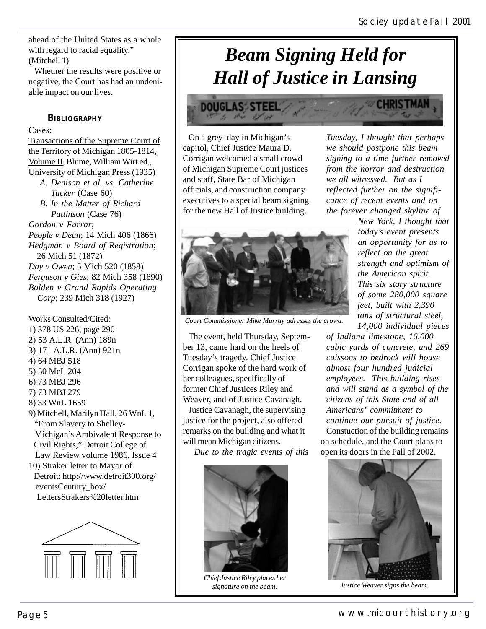ahead of the United States as a whole with regard to racial equality." (Mitchell 1)

Whether the results were positive or negative, the Court has had an undeniable impact on our lives.

#### **BIBLIOGRAPHY**

#### Cases:

Transactions of the Supreme Court of the Territory of Michigan 1805-1814, Volume II, Blume, William Wirt ed., University of Michigan Press (1935)

- *A. Denison et al. vs. Catherine Tucker* (Case 60)
- *B. In the Matter of Richard Pattinson* (Case 76) *Gordon v Farrar*; *People v Dean*; 14 Mich 406 (1866) *Hedgman v Board of Registration*; 26 Mich 51 (1872) *Day v Owen*; 5 Mich 520 (1858) *Ferguson v Gies*; 82 Mich 358 (1890) *Bolden v Grand Rapids Operating*
- *Corp*; 239 Mich 318 (1927)

Works Consulted/Cited: 1) 378 US 226, page 290 2) 53 A.L.R. (Ann) 189n 3) 171 A.L.R. (Ann) 921n 4) 64 MBJ 518 5) 50 McL 204 6) 73 MBJ 296 7) 73 MBJ 279 8) 33 WnL 1659 9) Mitchell, Marilyn Hall, 26 WnL 1, "From Slavery to Shelley- Michigan's Ambivalent Response to Civil Rights," Detroit College of Law Review volume 1986, Issue 4 10) Straker letter to Mayor of

 Detroit: http://www.detroit300.org/ eventsCentury\_box/ LettersStrakers%20letter.htm



# *Beam Signing Held for Hall of Justice in Lansing*

**DOUGLASS STEE** 

On a grey day in Michigan's capitol, Chief Justice Maura D. Corrigan welcomed a small crowd of Michigan Supreme Court justices and staff, State Bar of Michigan officials, and construction company executives to a special beam signing for the new Hall of Justice building.



*Court Commissioner Mike Murray adresses the crowd.*

The event, held Thursday, September 13, came hard on the heels of Tuesday's tragedy. Chief Justice Corrigan spoke of the hard work of her colleagues, specifically of former Chief Justices Riley and Weaver, and of Justice Cavanagh.

Justice Cavanagh, the supervising justice for the project, also offered remarks on the building and what it will mean Michigan citizens.

*Due to the tragic events of this*



*Chief Justice Riley places her signature on the beam.*

*Tuesday, I thought that perhaps we should postpone this beam signing to a time further removed from the horror and destruction we all witnessed. But as I reflected further on the significance of recent events and on the forever changed skyline of*

*New York, I thought that today's event presents an opportunity for us to reflect on the great strength and optimism of the American spirit. This six story structure of some 280,000 square feet, built with 2,390 tons of structural steel, 14,000 individual pieces*

*of Indiana limestone, 16,000 cubic yards of concrete, and 269 caissons to bedrock will house almost four hundred judicial employees. This building rises and will stand as a symbol of the citizens of this State and of all Americans' commitment to continue our pursuit of justice.* Constuction of the building remains on schedule, and the Court plans to open its doors in the Fall of 2002.



*Justice Weaver signs the beam.*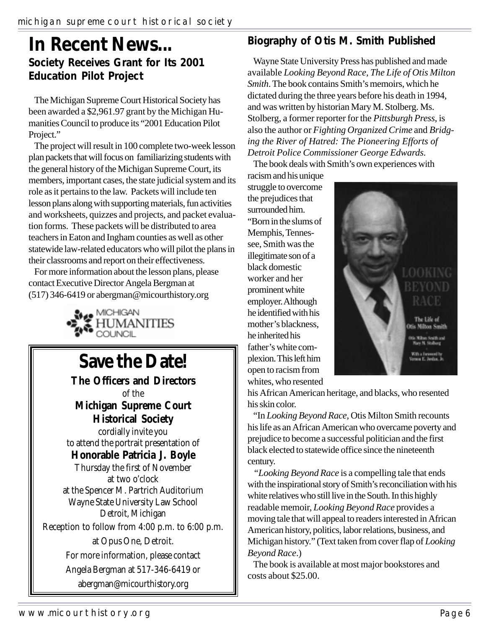# **In Recent News... Society Receives Grant for Its 2001 Education Pilot Project**

The Michigan Supreme Court Historical Society has been awarded a \$2,961.97 grant by the Michigan Humanities Council to produce its "2001 Education Pilot Project."

The project will result in 100 complete two-week lesson plan packets that will focus on familiarizing students with the general history of the Michigan Supreme Court, its members, important cases, the state judicial system and its role as it pertains to the law. Packets will include ten lesson plans along with supporting materials, fun activities and worksheets, quizzes and projects, and packet evaluation forms. These packets will be distributed to area teachers in Eaton and Ingham counties as well as other statewide law-related educators who will pilot the plans in their classrooms and report on their effectiveness.

For more information about the lesson plans, please contact Executive Director Angela Bergman at (517) 346-6419 or abergman@micourthistory.org



# **Save the Date!**

**The Officers and Directors** of the **Michigan Supreme Court Historical Society** cordially invite you to attend the portrait presentation of **Honorable Patricia J. Boyle** Thursday the first of November at two o'clock at the Spencer M. Partrich Auditorium Wayne State University Law School Detroit, Michigan Reception to follow from 4:00 p.m. to 6:00 p.m. at Opus One, Detroit. For more information, please contact Angela Bergman at 517-346-6419 or abergman@micourthistory.org

# **Biography of Otis M. Smith Published**

Wayne State University Press has published and made available *Looking Beyond Race, The Life of Otis Milton Smith*. The book contains Smith's memoirs, which he dictated during the three years before his death in 1994, and was written by historian Mary M. Stolberg. Ms. Stolberg, a former reporter for the *Pittsburgh Press*, is also the author or *Fighting Organized Crime* and *Bridging the River of Hatred: The Pioneering Efforts of Detroit Police Commissioner George Edwards.*

The book deals with Smith's own experiences with

racism and his unique struggle to overcome the prejudices that surrounded him. "Born in the slums of Memphis, Tennessee, Smith was the illegitimate son of a black domestic worker and her prominent white employer. Although he identified with his mother's blackness, he inherited his father's white complexion. This left him open to racism from whites, who resented



his African American heritage, and blacks, who resented his skin color.

"In *Looking Beyond Race,* Otis Milton Smith recounts his life as an African American who overcame poverty and prejudice to become a successful politician and the first black elected to statewide office since the nineteenth century.

*"Looking Beyond Race* is a compelling tale that ends with the inspirational story of Smith's reconciliation with his white relatives who still live in the South. In this highly readable memoir, *Looking Beyond Race* provides a moving tale that will appeal to readers interested in African American history, politics, labor relations, business, and Michigan history." (Text taken from cover flap of *Looking Beyond Race*.)

The book is available at most major bookstores and costs about \$25.00.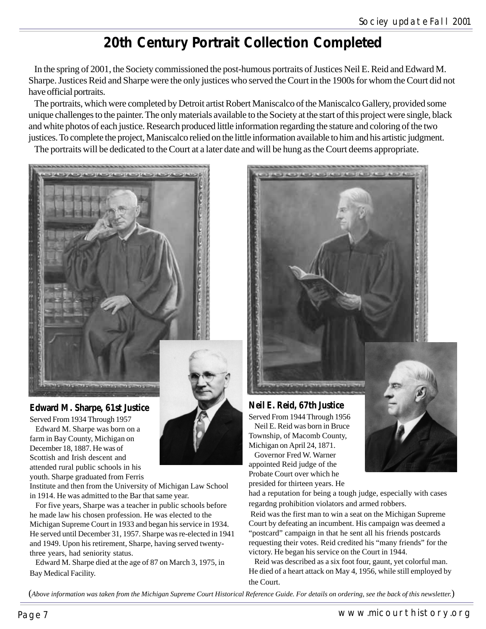# **20th Century Portrait Collection Completed**

In the spring of 2001, the Society commissioned the post-humous portraits of Justices Neil E. Reid and Edward M. Sharpe. Justices Reid and Sharpe were the only justices who served the Court in the 1900s for whom the Court did not have official portraits.

The portraits, which were completed by Detroit artist Robert Maniscalco of the Maniscalco Gallery, provided some unique challenges to the painter. The only materials available to the Society at the start of this project were single, black and white photos of each justice. Research produced little information regarding the stature and coloring of the two justices. To complete the project, Maniscalco relied on the little information available to him and his artistic judgment.

The portraits will be dedicated to the Court at a later date and will be hung as the Court deems appropriate.



## **Edward M. Sharpe, 61st Justice**

Served From 1934 Through 1957 Edward M. Sharpe was born on a farm in Bay County, Michigan on December 18, 1887. He was of Scottish and Irish descent and attended rural public schools in his youth. Sharpe graduated from Ferris

Institute and then from the University of Michigan Law School in 1914. He was admitted to the Bar that same year.

For five years, Sharpe was a teacher in public schools before he made law his chosen profession. He was elected to the Michigan Supreme Court in 1933 and began his service in 1934. He served until December 31, 1957. Sharpe was re-elected in 1941 and 1949. Upon his retirement, Sharpe, having served twentythree years, had seniority status.

Edward M. Sharpe died at the age of 87 on March 3, 1975, in Bay Medical Facility.



## **Neil E. Reid, 67th Justice**

Served From 1944 Through 1956 Neil E. Reid was born in Bruce Township, of Macomb County, Michigan on April 24, 1871.

Governor Fred W. Warner appointed Reid judge of the Probate Court over which he presided for thirteen years. He



had a reputation for being a tough judge, especially with cases regardng prohibition violators and armed robbers.

Reid was the first man to win a seat on the Michigan Supreme Court by defeating an incumbent. His campaign was deemed a "postcard" campaign in that he sent all his friends postcards requesting their votes. Reid credited his "many friends" for the victory. He began his service on the Court in 1944.

Reid was described as a six foot four, gaunt, yet colorful man. He died of a heart attack on May 4, 1956, while still employed by the Court.

(*Above information was taken from the Michigan Supreme Court Historical Reference Guide. For details on ordering, see the back of this newsletter.*)